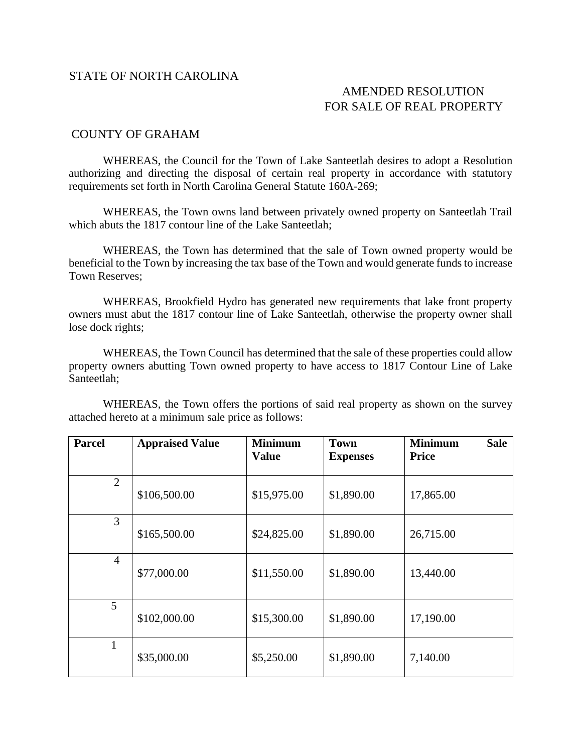## STATE OF NORTH CAROLINA

## AMENDED RESOLUTION FOR SALE OF REAL PROPERTY

## COUNTY OF GRAHAM

WHEREAS, the Council for the Town of Lake Santeetlah desires to adopt a Resolution authorizing and directing the disposal of certain real property in accordance with statutory requirements set forth in North Carolina General Statute 160A-269;

WHEREAS, the Town owns land between privately owned property on Santeetlah Trail which abuts the 1817 contour line of the Lake Santeetlah;

WHEREAS, the Town has determined that the sale of Town owned property would be beneficial to the Town by increasing the tax base of the Town and would generate funds to increase Town Reserves;

WHEREAS, Brookfield Hydro has generated new requirements that lake front property owners must abut the 1817 contour line of Lake Santeetlah, otherwise the property owner shall lose dock rights;

WHEREAS, the Town Council has determined that the sale of these properties could allow property owners abutting Town owned property to have access to 1817 Contour Line of Lake Santeetlah;

WHEREAS, the Town offers the portions of said real property as shown on the survey attached hereto at a minimum sale price as follows:

| <b>Parcel</b>  | <b>Appraised Value</b> | <b>Minimum</b><br><b>Value</b> | <b>Town</b><br><b>Expenses</b> | <b>Minimum</b><br><b>Sale</b><br><b>Price</b> |
|----------------|------------------------|--------------------------------|--------------------------------|-----------------------------------------------|
| 2              | \$106,500.00           | \$15,975.00                    | \$1,890.00                     | 17,865.00                                     |
| 3              | \$165,500.00           | \$24,825.00                    | \$1,890.00                     | 26,715.00                                     |
| $\overline{4}$ | \$77,000.00            | \$11,550.00                    | \$1,890.00                     | 13,440.00                                     |
| 5              | \$102,000.00           | \$15,300.00                    | \$1,890.00                     | 17,190.00                                     |
|                | \$35,000.00            | \$5,250.00                     | \$1,890.00                     | 7,140.00                                      |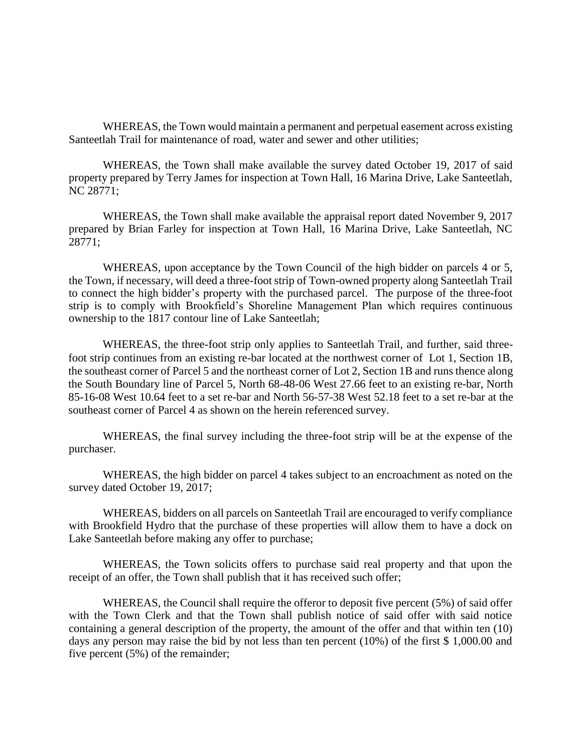WHEREAS, the Town would maintain a permanent and perpetual easement across existing Santeetlah Trail for maintenance of road, water and sewer and other utilities;

WHEREAS, the Town shall make available the survey dated October 19, 2017 of said property prepared by Terry James for inspection at Town Hall, 16 Marina Drive, Lake Santeetlah, NC 28771;

WHEREAS, the Town shall make available the appraisal report dated November 9, 2017 prepared by Brian Farley for inspection at Town Hall, 16 Marina Drive, Lake Santeetlah, NC 28771;

WHEREAS, upon acceptance by the Town Council of the high bidder on parcels 4 or 5, the Town, if necessary, will deed a three-foot strip of Town-owned property along Santeetlah Trail to connect the high bidder's property with the purchased parcel. The purpose of the three-foot strip is to comply with Brookfield's Shoreline Management Plan which requires continuous ownership to the 1817 contour line of Lake Santeetlah;

WHEREAS, the three-foot strip only applies to Santeetlah Trail, and further, said threefoot strip continues from an existing re-bar located at the northwest corner of Lot 1, Section 1B, the southeast corner of Parcel 5 and the northeast corner of Lot 2, Section 1B and runs thence along the South Boundary line of Parcel 5, North 68-48-06 West 27.66 feet to an existing re-bar, North 85-16-08 West 10.64 feet to a set re-bar and North 56-57-38 West 52.18 feet to a set re-bar at the southeast corner of Parcel 4 as shown on the herein referenced survey.

WHEREAS, the final survey including the three-foot strip will be at the expense of the purchaser.

WHEREAS, the high bidder on parcel 4 takes subject to an encroachment as noted on the survey dated October 19, 2017;

WHEREAS, bidders on all parcels on Santeetlah Trail are encouraged to verify compliance with Brookfield Hydro that the purchase of these properties will allow them to have a dock on Lake Santeetlah before making any offer to purchase;

WHEREAS, the Town solicits offers to purchase said real property and that upon the receipt of an offer, the Town shall publish that it has received such offer;

WHEREAS, the Council shall require the offeror to deposit five percent (5%) of said offer with the Town Clerk and that the Town shall publish notice of said offer with said notice containing a general description of the property, the amount of the offer and that within ten (10) days any person may raise the bid by not less than ten percent (10%) of the first \$ 1,000.00 and five percent (5%) of the remainder;